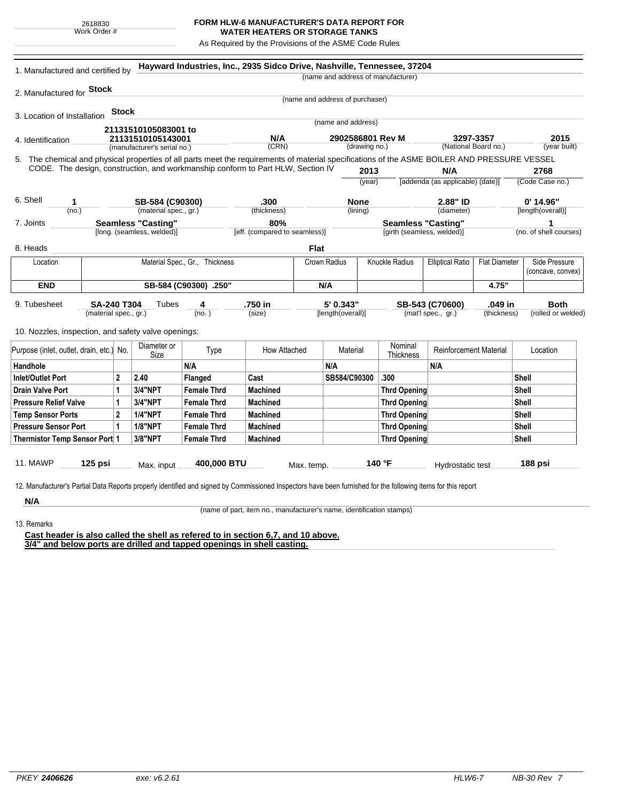## **FORM HLW-6 MANUFACTURER'S DATA REPORT FOR WATER HEATERS OR STORAGE TANKS**

As Required by the Provisions of the ASME Code Rules

| (name and address of manufacturer)<br>2. Manufactured for <b>Stock</b><br>(name and address of purchaser)<br>Stock<br>(name and address)<br>21131510105083001 to<br>N/A<br>2902586801 Rev M<br>21131510105143001<br>(CRN)<br>(drawing no.)<br>(manufacturer's serial no.)<br>CODE. The design, construction, and workmanship conform to Part HLW, Section IV<br>2013<br>(year)<br>SB-584 (C90300)<br>.300<br><b>None</b><br>1<br>(material spec., gr.)<br>(thickness)<br>(no.)<br>(lining)<br><b>Seamless "Casting"</b><br>80%<br>[long. (seamless, welded)]<br>[eff. (compared to seamless)]<br><b>Flat</b><br>Material Spec., Gr., Thickness<br>Crown Radius<br>Knuckle Radius<br>Location<br><b>END</b><br>SB-584 (C90300) .250"<br>N/A<br><b>SA-240 T304</b><br>4<br>.750 in<br>5' 0.343"<br>Tubes<br>(no.)<br>(material spec., gr.)<br>(size)<br>[length(overall)]<br>Diameter or<br>Nominal<br>How Attached<br>Type<br>Material<br>Size<br>Thickness<br>N/A<br>N/A<br>$\mathbf{2}$<br>SB584/C90300<br>.300<br>2.40<br>Flanged<br>Cast<br>3/4"NPT<br><b>Female Thrd</b><br><b>Machined</b><br>1<br><b>Thrd Opening</b><br>3/4"NPT<br><b>Female Thrd</b><br>1<br>Machined<br><b>Thrd Opening</b><br>$\mathbf{2}$<br><b>1/4"NPT</b><br><b>Female Thrd</b><br><b>Machined</b><br><b>Thrd Opening</b><br><b>1/8"NPT</b><br>$\mathbf 1$<br><b>Female Thrd</b><br><b>Machined</b><br><b>Thrd Opening</b><br>3/8"NPT<br><b>Machined</b><br><b>Female Thrd</b><br><b>Thrd Opening</b><br>400,000 BTU<br>140 °F<br>$125$ psi<br>Max. input<br>Max. temp. | Hayward Industries, Inc., 2935 Sidco Drive, Nashville, Tennessee, 37204 |                               |                        |
|------------------------------------------------------------------------------------------------------------------------------------------------------------------------------------------------------------------------------------------------------------------------------------------------------------------------------------------------------------------------------------------------------------------------------------------------------------------------------------------------------------------------------------------------------------------------------------------------------------------------------------------------------------------------------------------------------------------------------------------------------------------------------------------------------------------------------------------------------------------------------------------------------------------------------------------------------------------------------------------------------------------------------------------------------------------------------------------------------------------------------------------------------------------------------------------------------------------------------------------------------------------------------------------------------------------------------------------------------------------------------------------------------------------------------------------------------------------------------------------------------------------------------------------------------|-------------------------------------------------------------------------|-------------------------------|------------------------|
|                                                                                                                                                                                                                                                                                                                                                                                                                                                                                                                                                                                                                                                                                                                                                                                                                                                                                                                                                                                                                                                                                                                                                                                                                                                                                                                                                                                                                                                                                                                                                      |                                                                         |                               |                        |
| 3. Location of Installation<br>4. Identification<br>5. The chemical and physical properties of all parts meet the requirements of material specifications of the ASME BOILER AND PRESSURE VESSEL<br>6. Shell<br>7. Joints<br>8. Heads<br>9. Tubesheet<br>10. Nozzles, inspection, and safety valve openings:<br>Purpose (inlet, outlet, drain, etc.) No.<br>Handhole<br><b>Inlet/Outlet Port</b><br><b>Drain Valve Port</b><br><b>Pressure Relief Valve</b><br><b>Temp Sensor Ports</b><br><b>Pressure Sensor Port</b><br>Thermistor Temp Sensor Port 1<br><b>11. MAWP</b>                                                                                                                                                                                                                                                                                                                                                                                                                                                                                                                                                                                                                                                                                                                                                                                                                                                                                                                                                                           |                                                                         |                               |                        |
|                                                                                                                                                                                                                                                                                                                                                                                                                                                                                                                                                                                                                                                                                                                                                                                                                                                                                                                                                                                                                                                                                                                                                                                                                                                                                                                                                                                                                                                                                                                                                      |                                                                         |                               |                        |
|                                                                                                                                                                                                                                                                                                                                                                                                                                                                                                                                                                                                                                                                                                                                                                                                                                                                                                                                                                                                                                                                                                                                                                                                                                                                                                                                                                                                                                                                                                                                                      |                                                                         |                               |                        |
|                                                                                                                                                                                                                                                                                                                                                                                                                                                                                                                                                                                                                                                                                                                                                                                                                                                                                                                                                                                                                                                                                                                                                                                                                                                                                                                                                                                                                                                                                                                                                      |                                                                         |                               |                        |
|                                                                                                                                                                                                                                                                                                                                                                                                                                                                                                                                                                                                                                                                                                                                                                                                                                                                                                                                                                                                                                                                                                                                                                                                                                                                                                                                                                                                                                                                                                                                                      | 3297-3357                                                               |                               | 2015                   |
|                                                                                                                                                                                                                                                                                                                                                                                                                                                                                                                                                                                                                                                                                                                                                                                                                                                                                                                                                                                                                                                                                                                                                                                                                                                                                                                                                                                                                                                                                                                                                      | (National Board no.)                                                    |                               | (year built)           |
|                                                                                                                                                                                                                                                                                                                                                                                                                                                                                                                                                                                                                                                                                                                                                                                                                                                                                                                                                                                                                                                                                                                                                                                                                                                                                                                                                                                                                                                                                                                                                      |                                                                         |                               |                        |
|                                                                                                                                                                                                                                                                                                                                                                                                                                                                                                                                                                                                                                                                                                                                                                                                                                                                                                                                                                                                                                                                                                                                                                                                                                                                                                                                                                                                                                                                                                                                                      | N/A                                                                     |                               | 2768                   |
|                                                                                                                                                                                                                                                                                                                                                                                                                                                                                                                                                                                                                                                                                                                                                                                                                                                                                                                                                                                                                                                                                                                                                                                                                                                                                                                                                                                                                                                                                                                                                      | [addenda (as applicable) (date)]                                        |                               | (Code Case no.)        |
|                                                                                                                                                                                                                                                                                                                                                                                                                                                                                                                                                                                                                                                                                                                                                                                                                                                                                                                                                                                                                                                                                                                                                                                                                                                                                                                                                                                                                                                                                                                                                      | 2.88" ID                                                                |                               | $0'$ 14.96"            |
|                                                                                                                                                                                                                                                                                                                                                                                                                                                                                                                                                                                                                                                                                                                                                                                                                                                                                                                                                                                                                                                                                                                                                                                                                                                                                                                                                                                                                                                                                                                                                      | (diameter)                                                              |                               | [length(overall)]      |
|                                                                                                                                                                                                                                                                                                                                                                                                                                                                                                                                                                                                                                                                                                                                                                                                                                                                                                                                                                                                                                                                                                                                                                                                                                                                                                                                                                                                                                                                                                                                                      | <b>Seamless "Casting"</b>                                               |                               | 1                      |
|                                                                                                                                                                                                                                                                                                                                                                                                                                                                                                                                                                                                                                                                                                                                                                                                                                                                                                                                                                                                                                                                                                                                                                                                                                                                                                                                                                                                                                                                                                                                                      | [girth (seamless, welded)]                                              |                               | (no. of shell courses) |
|                                                                                                                                                                                                                                                                                                                                                                                                                                                                                                                                                                                                                                                                                                                                                                                                                                                                                                                                                                                                                                                                                                                                                                                                                                                                                                                                                                                                                                                                                                                                                      |                                                                         |                               |                        |
|                                                                                                                                                                                                                                                                                                                                                                                                                                                                                                                                                                                                                                                                                                                                                                                                                                                                                                                                                                                                                                                                                                                                                                                                                                                                                                                                                                                                                                                                                                                                                      | <b>Elliptical Ratio</b>                                                 | <b>Flat Diameter</b>          | Side Pressure          |
|                                                                                                                                                                                                                                                                                                                                                                                                                                                                                                                                                                                                                                                                                                                                                                                                                                                                                                                                                                                                                                                                                                                                                                                                                                                                                                                                                                                                                                                                                                                                                      |                                                                         |                               | (concave, convex)      |
|                                                                                                                                                                                                                                                                                                                                                                                                                                                                                                                                                                                                                                                                                                                                                                                                                                                                                                                                                                                                                                                                                                                                                                                                                                                                                                                                                                                                                                                                                                                                                      |                                                                         | 4.75"                         |                        |
|                                                                                                                                                                                                                                                                                                                                                                                                                                                                                                                                                                                                                                                                                                                                                                                                                                                                                                                                                                                                                                                                                                                                                                                                                                                                                                                                                                                                                                                                                                                                                      | SB-543 (C70600)                                                         | .049 in                       | <b>Both</b>            |
|                                                                                                                                                                                                                                                                                                                                                                                                                                                                                                                                                                                                                                                                                                                                                                                                                                                                                                                                                                                                                                                                                                                                                                                                                                                                                                                                                                                                                                                                                                                                                      | (mat'l spec., gr.)                                                      | (thickness)                   | (rolled or welded)     |
|                                                                                                                                                                                                                                                                                                                                                                                                                                                                                                                                                                                                                                                                                                                                                                                                                                                                                                                                                                                                                                                                                                                                                                                                                                                                                                                                                                                                                                                                                                                                                      |                                                                         |                               |                        |
|                                                                                                                                                                                                                                                                                                                                                                                                                                                                                                                                                                                                                                                                                                                                                                                                                                                                                                                                                                                                                                                                                                                                                                                                                                                                                                                                                                                                                                                                                                                                                      |                                                                         |                               |                        |
|                                                                                                                                                                                                                                                                                                                                                                                                                                                                                                                                                                                                                                                                                                                                                                                                                                                                                                                                                                                                                                                                                                                                                                                                                                                                                                                                                                                                                                                                                                                                                      |                                                                         | <b>Reinforcement Material</b> | Location               |
|                                                                                                                                                                                                                                                                                                                                                                                                                                                                                                                                                                                                                                                                                                                                                                                                                                                                                                                                                                                                                                                                                                                                                                                                                                                                                                                                                                                                                                                                                                                                                      | N/A                                                                     |                               |                        |
|                                                                                                                                                                                                                                                                                                                                                                                                                                                                                                                                                                                                                                                                                                                                                                                                                                                                                                                                                                                                                                                                                                                                                                                                                                                                                                                                                                                                                                                                                                                                                      |                                                                         |                               | Shell                  |
|                                                                                                                                                                                                                                                                                                                                                                                                                                                                                                                                                                                                                                                                                                                                                                                                                                                                                                                                                                                                                                                                                                                                                                                                                                                                                                                                                                                                                                                                                                                                                      |                                                                         |                               | <b>Shell</b>           |
|                                                                                                                                                                                                                                                                                                                                                                                                                                                                                                                                                                                                                                                                                                                                                                                                                                                                                                                                                                                                                                                                                                                                                                                                                                                                                                                                                                                                                                                                                                                                                      |                                                                         |                               | Shell                  |
|                                                                                                                                                                                                                                                                                                                                                                                                                                                                                                                                                                                                                                                                                                                                                                                                                                                                                                                                                                                                                                                                                                                                                                                                                                                                                                                                                                                                                                                                                                                                                      |                                                                         |                               | Shell                  |
|                                                                                                                                                                                                                                                                                                                                                                                                                                                                                                                                                                                                                                                                                                                                                                                                                                                                                                                                                                                                                                                                                                                                                                                                                                                                                                                                                                                                                                                                                                                                                      |                                                                         |                               |                        |
|                                                                                                                                                                                                                                                                                                                                                                                                                                                                                                                                                                                                                                                                                                                                                                                                                                                                                                                                                                                                                                                                                                                                                                                                                                                                                                                                                                                                                                                                                                                                                      |                                                                         |                               | Shell                  |
|                                                                                                                                                                                                                                                                                                                                                                                                                                                                                                                                                                                                                                                                                                                                                                                                                                                                                                                                                                                                                                                                                                                                                                                                                                                                                                                                                                                                                                                                                                                                                      |                                                                         |                               | <b>Shell</b>           |
|                                                                                                                                                                                                                                                                                                                                                                                                                                                                                                                                                                                                                                                                                                                                                                                                                                                                                                                                                                                                                                                                                                                                                                                                                                                                                                                                                                                                                                                                                                                                                      | Hydrostatic test                                                        |                               | 188 psi                |
|                                                                                                                                                                                                                                                                                                                                                                                                                                                                                                                                                                                                                                                                                                                                                                                                                                                                                                                                                                                                                                                                                                                                                                                                                                                                                                                                                                                                                                                                                                                                                      |                                                                         |                               |                        |
| 12. Manufacturer's Partial Data Reports properly identified and signed by Commissioned Inspectors have been furnished for the following items for this report                                                                                                                                                                                                                                                                                                                                                                                                                                                                                                                                                                                                                                                                                                                                                                                                                                                                                                                                                                                                                                                                                                                                                                                                                                                                                                                                                                                        |                                                                         |                               |                        |

13. Remarks

(name of part, item no., manufacturer's name, identification stamps)

**Cast header is also called the shell as refered to in section 6,7, and 10 above. 3/4" and below ports are drilled and tapped openings in shell casting.**